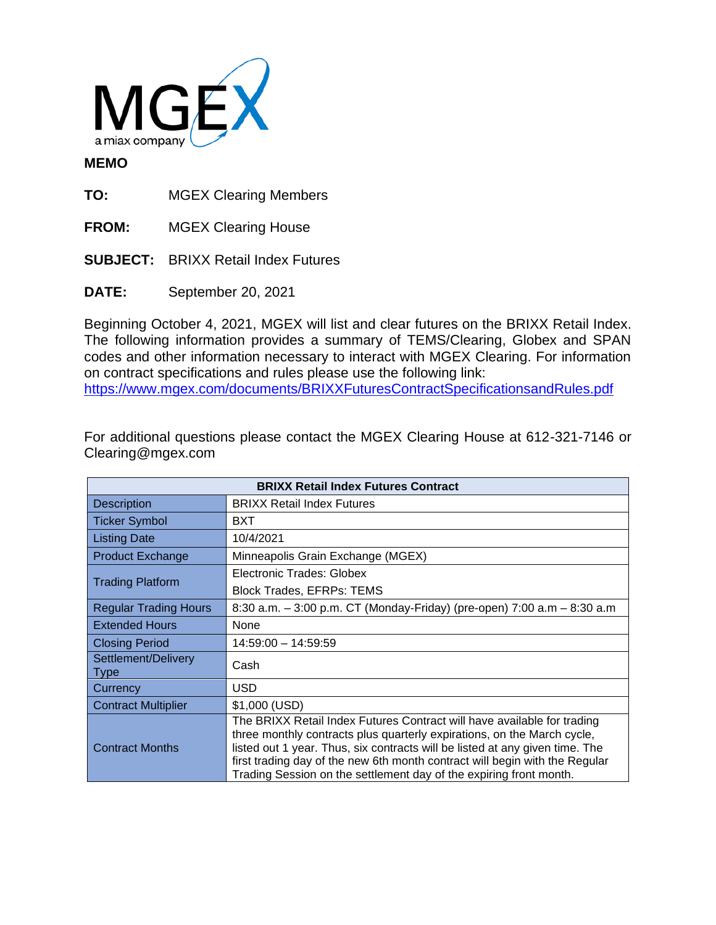

## **MEMO**

**TO:** MGEX Clearing Members

**FROM:** MGEX Clearing House

**SUBJECT:** BRIXX Retail Index Futures

**DATE:** September 20, 2021

Beginning October 4, 2021, MGEX will list and clear futures on the BRIXX Retail Index. The following information provides a summary of TEMS/Clearing, Globex and SPAN codes and other information necessary to interact with MGEX Clearing. For information on contract specifications and rules please use the following link: <https://www.mgex.com/documents/BRIXXFuturesContractSpecificationsandRules.pdf>

For additional questions please contact the MGEX Clearing House at 612-321-7146 or Clearing@mgex.com

| <b>BRIXX Retail Index Futures Contract</b> |                                                                                                                                                                                                                                                                                                                                                                                         |  |
|--------------------------------------------|-----------------------------------------------------------------------------------------------------------------------------------------------------------------------------------------------------------------------------------------------------------------------------------------------------------------------------------------------------------------------------------------|--|
| <b>Description</b>                         | <b>BRIXX Retail Index Futures</b>                                                                                                                                                                                                                                                                                                                                                       |  |
| <b>Ticker Symbol</b>                       | BXT                                                                                                                                                                                                                                                                                                                                                                                     |  |
| <b>Listing Date</b>                        | 10/4/2021                                                                                                                                                                                                                                                                                                                                                                               |  |
| <b>Product Exchange</b>                    | Minneapolis Grain Exchange (MGEX)                                                                                                                                                                                                                                                                                                                                                       |  |
| <b>Trading Platform</b>                    | Electronic Trades: Globex                                                                                                                                                                                                                                                                                                                                                               |  |
|                                            | <b>Block Trades, EFRPs: TEMS</b>                                                                                                                                                                                                                                                                                                                                                        |  |
| <b>Regular Trading Hours</b>               | 8:30 a.m. - 3:00 p.m. CT (Monday-Friday) (pre-open) 7:00 a.m - 8:30 a.m                                                                                                                                                                                                                                                                                                                 |  |
| <b>Extended Hours</b>                      | None                                                                                                                                                                                                                                                                                                                                                                                    |  |
| <b>Closing Period</b>                      | 14:59:00 - 14:59:59                                                                                                                                                                                                                                                                                                                                                                     |  |
| Settlement/Delivery<br><b>Type</b>         | Cash                                                                                                                                                                                                                                                                                                                                                                                    |  |
| Currency                                   | <b>USD</b>                                                                                                                                                                                                                                                                                                                                                                              |  |
| <b>Contract Multiplier</b>                 | \$1,000 (USD)                                                                                                                                                                                                                                                                                                                                                                           |  |
| <b>Contract Months</b>                     | The BRIXX Retail Index Futures Contract will have available for trading<br>three monthly contracts plus quarterly expirations, on the March cycle,<br>listed out 1 year. Thus, six contracts will be listed at any given time. The<br>first trading day of the new 6th month contract will begin with the Regular<br>Trading Session on the settlement day of the expiring front month. |  |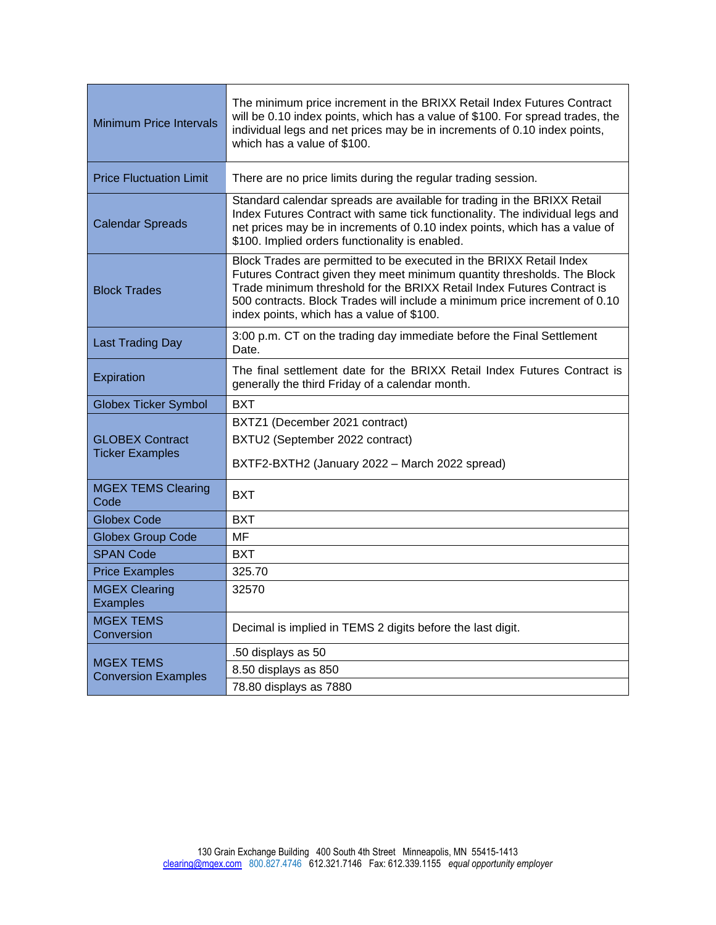| <b>Minimum Price Intervals</b>                   | The minimum price increment in the BRIXX Retail Index Futures Contract<br>will be 0.10 index points, which has a value of \$100. For spread trades, the<br>individual legs and net prices may be in increments of 0.10 index points,<br>which has a value of \$100.                                                                                 |  |
|--------------------------------------------------|-----------------------------------------------------------------------------------------------------------------------------------------------------------------------------------------------------------------------------------------------------------------------------------------------------------------------------------------------------|--|
| <b>Price Fluctuation Limit</b>                   | There are no price limits during the regular trading session.                                                                                                                                                                                                                                                                                       |  |
| <b>Calendar Spreads</b>                          | Standard calendar spreads are available for trading in the BRIXX Retail<br>Index Futures Contract with same tick functionality. The individual legs and<br>net prices may be in increments of 0.10 index points, which has a value of<br>\$100. Implied orders functionality is enabled.                                                            |  |
| <b>Block Trades</b>                              | Block Trades are permitted to be executed in the BRIXX Retail Index<br>Futures Contract given they meet minimum quantity thresholds. The Block<br>Trade minimum threshold for the BRIXX Retail Index Futures Contract is<br>500 contracts. Block Trades will include a minimum price increment of 0.10<br>index points, which has a value of \$100. |  |
| <b>Last Trading Day</b>                          | 3:00 p.m. CT on the trading day immediate before the Final Settlement<br>Date.                                                                                                                                                                                                                                                                      |  |
| Expiration                                       | The final settlement date for the BRIXX Retail Index Futures Contract is<br>generally the third Friday of a calendar month.                                                                                                                                                                                                                         |  |
| <b>Globex Ticker Symbol</b>                      | <b>BXT</b>                                                                                                                                                                                                                                                                                                                                          |  |
| <b>GLOBEX Contract</b><br><b>Ticker Examples</b> | BXTZ1 (December 2021 contract)                                                                                                                                                                                                                                                                                                                      |  |
|                                                  | BXTU2 (September 2022 contract)                                                                                                                                                                                                                                                                                                                     |  |
|                                                  | BXTF2-BXTH2 (January 2022 - March 2022 spread)                                                                                                                                                                                                                                                                                                      |  |
| <b>MGEX TEMS Clearing</b><br>Code                | <b>BXT</b>                                                                                                                                                                                                                                                                                                                                          |  |
| <b>Globex Code</b>                               | <b>BXT</b>                                                                                                                                                                                                                                                                                                                                          |  |
| <b>Globex Group Code</b>                         | MF                                                                                                                                                                                                                                                                                                                                                  |  |
| <b>SPAN Code</b>                                 | <b>BXT</b>                                                                                                                                                                                                                                                                                                                                          |  |
| <b>Price Examples</b>                            | 325.70                                                                                                                                                                                                                                                                                                                                              |  |
| <b>MGEX Clearing</b><br><b>Examples</b>          | 32570                                                                                                                                                                                                                                                                                                                                               |  |
| <b>MGEX TEMS</b><br>Conversion                   | Decimal is implied in TEMS 2 digits before the last digit.                                                                                                                                                                                                                                                                                          |  |
| <b>MGEX TEMS</b><br><b>Conversion Examples</b>   | .50 displays as 50                                                                                                                                                                                                                                                                                                                                  |  |
|                                                  | 8.50 displays as 850                                                                                                                                                                                                                                                                                                                                |  |
|                                                  | 78.80 displays as 7880                                                                                                                                                                                                                                                                                                                              |  |